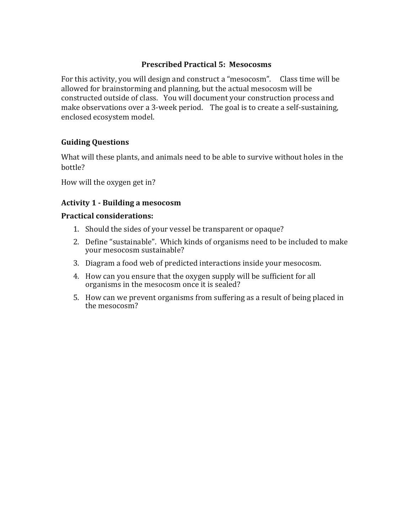## **Prescribed Practical 5: Mesocosms**

For this activity, you will design and construct a "mesocosm". Class time will be allowed for brainstorming and planning, but the actual mesocosm will be constructed outside of class. You will document your construction process and make observations over a 3-week period. The goal is to create a self-sustaining, enclosed ecosystem model.

## **Guiding Questions**

What will these plants, and animals need to be able to survive without holes in the bottle?

How will the oxygen get in?

## **Activity 1 - Building a mesocosm**

#### **Practical considerations:**

- 1. Should the sides of your vessel be transparent or opaque?
- 2. Define "sustainable". Which kinds of organisms need to be included to make your mesocosm sustainable?
- 3. Diagram a food web of predicted interactions inside your mesocosm.
- 4. How can you ensure that the oxygen supply will be sufficient for all organisms in the mesocosm once it is sealed?
- 5. How can we prevent organisms from suffering as a result of being placed in the mesocosm?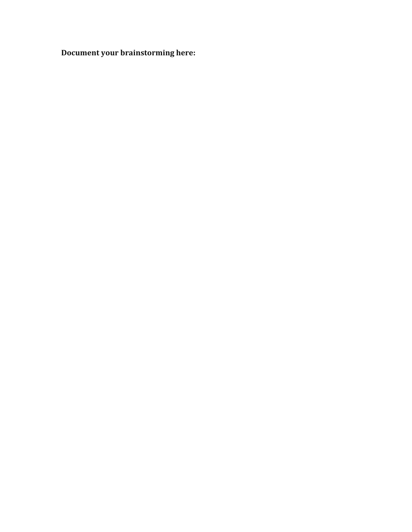**Document your brainstorming here:**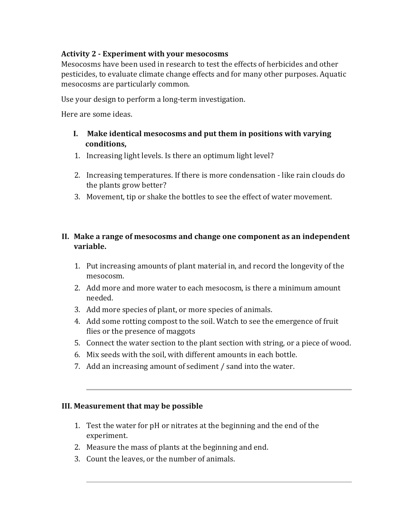# **Activity 2 - Experiment with your mesocosms**

Mesocosms have been used in research to test the effects of herbicides and other pesticides, to evaluate climate change effects and for many other purposes. Aquatic mesocosms are particularly common.

Use your design to perform a long-term investigation.

Here are some ideas.

- **I.** Make identical mesocosms and put them in positions with varying **conditions,**
- 1. Increasing light levels. Is there an optimum light level?
- 2. Increasing temperatures. If there is more condensation like rain clouds do the plants grow better?
- 3. Movement, tip or shake the bottles to see the effect of water movement.

# II. Make a range of mesocosms and change one component as an independent **variable.**

- 1. Put increasing amounts of plant material in, and record the longevity of the mesocosm.
- 2. Add more and more water to each mesocosm, is there a minimum amount needed.
- 3. Add more species of plant, or more species of animals.
- 4. Add some rotting compost to the soil. Watch to see the emergence of fruit flies or the presence of maggots
- 5. Connect the water section to the plant section with string, or a piece of wood.
- 6. Mix seeds with the soil, with different amounts in each bottle.
- 7. Add an increasing amount of sediment / sand into the water.

### **III. Measurement that may be possible**

- 1. Test the water for pH or nitrates at the beginning and the end of the experiment.
- 2. Measure the mass of plants at the beginning and end.
- 3. Count the leaves, or the number of animals.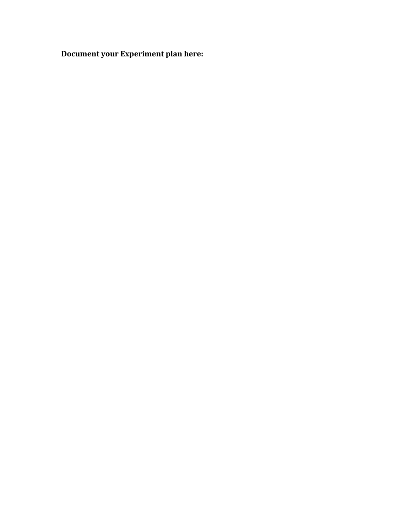**Document your Experiment plan here:**